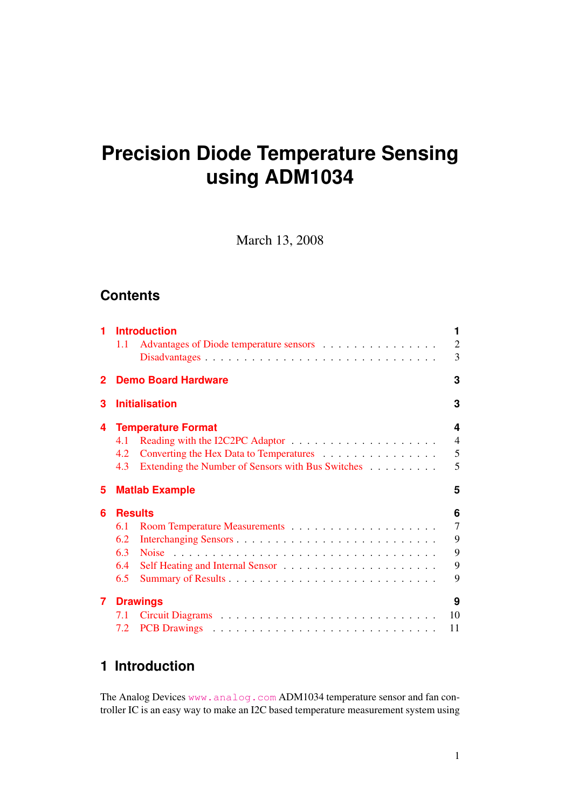# **Precision Diode Temperature Sensing using ADM1034**

March 13, 2008

### **Contents**

| 1                          | <b>Introduction</b><br>Advantages of Diode temperature sensors<br>1.1                                                                          | 1<br>$\overline{2}$<br>3                |  |  |  |  |
|----------------------------|------------------------------------------------------------------------------------------------------------------------------------------------|-----------------------------------------|--|--|--|--|
| 2                          | <b>Demo Board Hardware</b>                                                                                                                     | 3                                       |  |  |  |  |
| <b>Initialisation</b><br>3 |                                                                                                                                                |                                         |  |  |  |  |
| 4                          | <b>Temperature Format</b><br>4.1<br>Converting the Hex Data to Temperatures<br>4.2<br>Extending the Number of Sensors with Bus Switches<br>4.3 | 4<br>$\overline{4}$<br>5<br>5           |  |  |  |  |
| 5                          | <b>Matlab Example</b>                                                                                                                          |                                         |  |  |  |  |
| 6                          | <b>Results</b><br>6.1<br>6.2<br>6.3<br>6.4<br>6.5                                                                                              | 6<br>$\overline{7}$<br>9<br>9<br>9<br>9 |  |  |  |  |
|                            |                                                                                                                                                |                                         |  |  |  |  |

### <span id="page-0-0"></span>**1 Introduction**

The Analog Devices <www.analog.com> ADM1034 temperature sensor and fan controller IC is an easy way to make an I2C based temperature measurement system using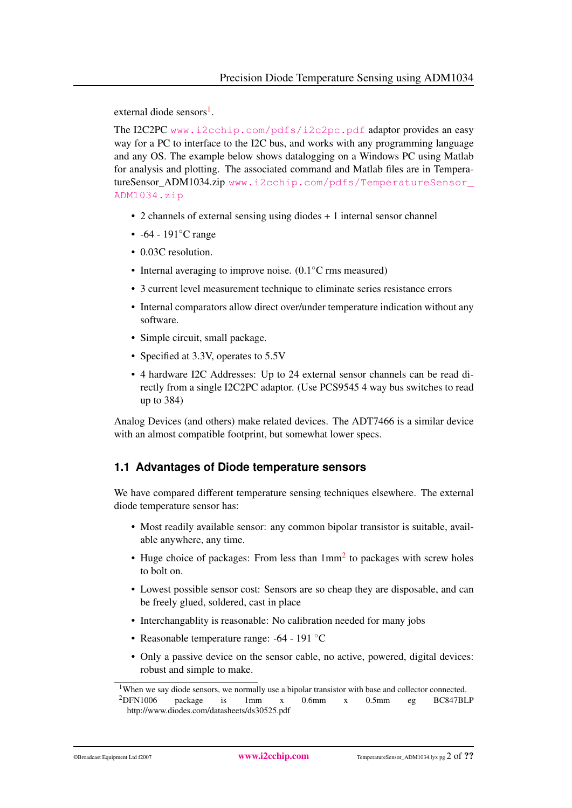external diode sensors<sup>[1](#page-1-1)</sup>.

The I2C2PC <www.i2cchip.com/pdfs/i2c2pc.pdf> adaptor provides an easy way for a PC to interface to the I2C bus, and works with any programming language and any OS. The example below shows datalogging on a Windows PC using Matlab for analysis and plotting. The associated command and Matlab files are in TemperatureSensor\_ADM1034.zip [www.i2cchip.com/pdfs/TemperatureSensor\\_](www.i2cchip.com/pdfs/TemperatureSensor_ADM1034.zip) [ADM1034.zip](www.i2cchip.com/pdfs/TemperatureSensor_ADM1034.zip)

- 2 channels of external sensing using diodes + 1 internal sensor channel
- -64 191°C range
- 0.03C resolution.
- Internal averaging to improve noise. (0.1<sup>°</sup>C rms measured)
- 3 current level measurement technique to eliminate series resistance errors
- Internal comparators allow direct over/under temperature indication without any software.
- Simple circuit, small package.
- Specified at 3.3V, operates to 5.5V
- 4 hardware I2C Addresses: Up to 24 external sensor channels can be read directly from a single I2C2PC adaptor. (Use PCS9545 4 way bus switches to read up to 384)

Analog Devices (and others) make related devices. The ADT7466 is a similar device with an almost compatible footprint, but somewhat lower specs.

### <span id="page-1-0"></span>**1.1 Advantages of Diode temperature sensors**

We have compared different temperature sensing techniques elsewhere. The external diode temperature sensor has:

- Most readily available sensor: any common bipolar transistor is suitable, available anywhere, any time.
- Huge choice of packages: From less than  $1mm<sup>2</sup>$  $1mm<sup>2</sup>$  $1mm<sup>2</sup>$  to packages with screw holes to bolt on.
- Lowest possible sensor cost: Sensors are so cheap they are disposable, and can be freely glued, soldered, cast in place
- Interchangablity is reasonable: No calibration needed for many jobs
- Reasonable temperature range: -64 191 °C
- Only a passive device on the sensor cable, no active, powered, digital devices: robust and simple to make.

<span id="page-1-2"></span><span id="page-1-1"></span><sup>&</sup>lt;sup>1</sup>When we say diode sensors, we normally use a bipolar transistor with base and collector connected.<br><sup>2</sup>DFN1006 package is 1mm x 0.6mm x 0.5mm eg BC847BL <sup>2</sup>DFN1006 package is 1mm x 0.6mm x 0.5mm eg BC847BLP http://www.diodes.com/datasheets/ds30525.pdf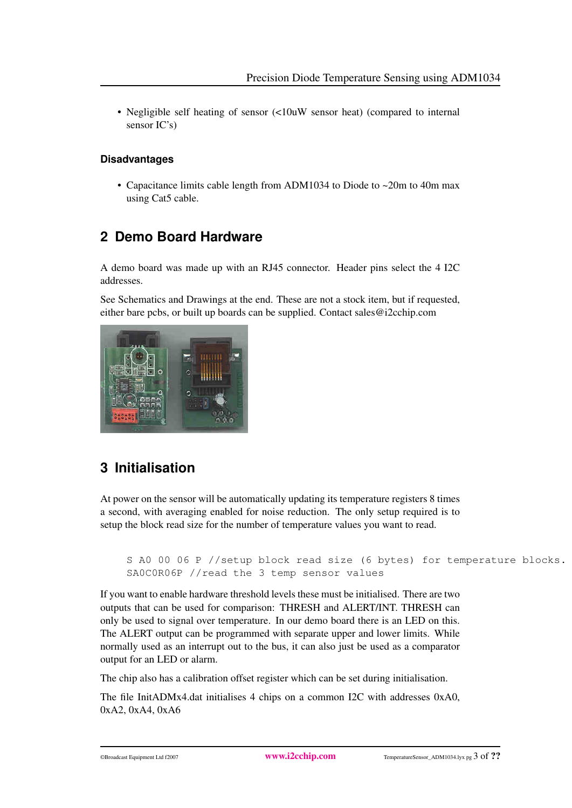• Negligible self heating of sensor (<10uW sensor heat) (compared to internal sensor IC's)

#### **Disadvantages**

<span id="page-2-0"></span>• Capacitance limits cable length from ADM1034 to Diode to ~20m to 40m max using Cat5 cable.

# <span id="page-2-1"></span>**2 Demo Board Hardware**

A demo board was made up with an RJ45 connector. Header pins select the 4 I2C addresses.

See Schematics and Drawings at the end. These are not a stock item, but if requested, either bare pcbs, or built up boards can be supplied. Contact sales@i2cchip.com



# <span id="page-2-2"></span>**3 Initialisation**

At power on the sensor will be automatically updating its temperature registers 8 times a second, with averaging enabled for noise reduction. The only setup required is to setup the block read size for the number of temperature values you want to read.

```
S A0 00 06 P //setup block read size (6 bytes) for temperature blocks.
SA0C0R06P //read the 3 temp sensor values
```
If you want to enable hardware threshold levels these must be initialised. There are two outputs that can be used for comparison: THRESH and ALERT/INT. THRESH can only be used to signal over temperature. In our demo board there is an LED on this. The ALERT output can be programmed with separate upper and lower limits. While normally used as an interrupt out to the bus, it can also just be used as a comparator output for an LED or alarm.

The chip also has a calibration offset register which can be set during initialisation.

The file InitADMx4.dat initialises 4 chips on a common I2C with addresses 0xA0, 0xA2, 0xA4, 0xA6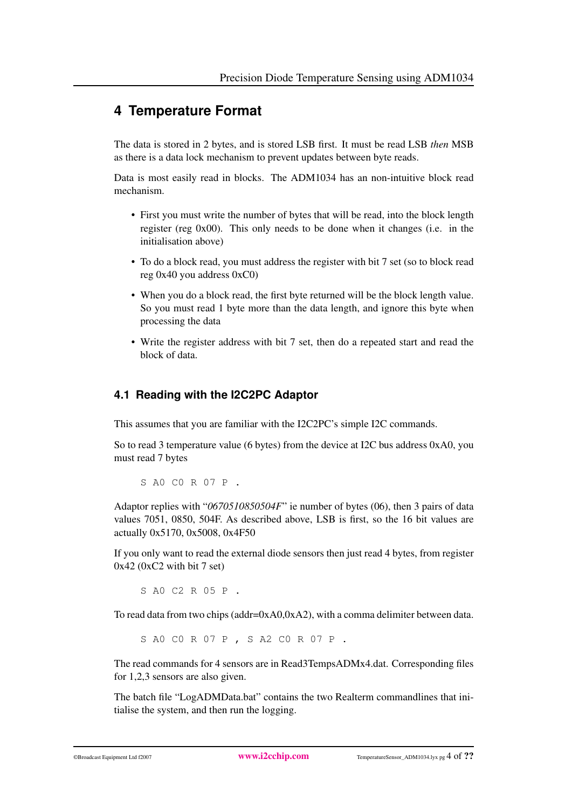### <span id="page-3-0"></span>**4 Temperature Format**

The data is stored in 2 bytes, and is stored LSB first. It must be read LSB *then* MSB as there is a data lock mechanism to prevent updates between byte reads.

Data is most easily read in blocks. The ADM1034 has an non-intuitive block read mechanism.

- First you must write the number of bytes that will be read, into the block length register (reg 0x00). This only needs to be done when it changes (i.e. in the initialisation above)
- To do a block read, you must address the register with bit 7 set (so to block read reg 0x40 you address 0xC0)
- When you do a block read, the first byte returned will be the block length value. So you must read 1 byte more than the data length, and ignore this byte when processing the data
- Write the register address with bit 7 set, then do a repeated start and read the block of data.

### <span id="page-3-1"></span>**4.1 Reading with the I2C2PC Adaptor**

This assumes that you are familiar with the I2C2PC's simple I2C commands.

So to read 3 temperature value (6 bytes) from the device at I2C bus address 0xA0, you must read 7 bytes

S A0 C0 R 07 P .

Adaptor replies with "*0670510850504F*" ie number of bytes (06), then 3 pairs of data values 7051, 0850, 504F. As described above, LSB is first, so the 16 bit values are actually 0x5170, 0x5008, 0x4F50

If you only want to read the external diode sensors then just read 4 bytes, from register  $0x42$  ( $0xC2$  with bit 7 set)

S A0 C2 R 05 P .

To read data from two chips (addr=0xA0,0xA2), with a comma delimiter between data.

S A0 C0 R 07 P , S A2 C0 R 07 P .

The read commands for 4 sensors are in Read3TempsADMx4.dat. Corresponding files for 1,2,3 sensors are also given.

The batch file "LogADMData.bat" contains the two Realterm commandlines that initialise the system, and then run the logging.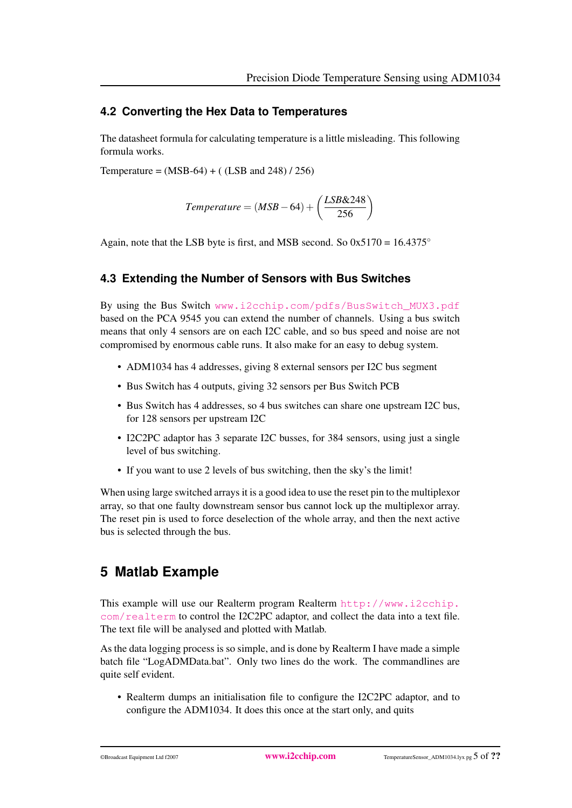#### <span id="page-4-0"></span>**4.2 Converting the Hex Data to Temperatures**

The datasheet formula for calculating temperature is a little misleading. This following formula works.

Temperature =  $(MSB-64) + (LSB and 248) / 256$ 

$$
Temperature = (MSB - 64) + \left(\frac{LSB\&248}{256}\right)
$$

Again, note that the LSB byte is first, and MSB second. So  $0x5170 = 16.4375^{\circ}$ 

#### <span id="page-4-1"></span>**4.3 Extending the Number of Sensors with Bus Switches**

By using the Bus Switch [www.i2cchip.com/pdfs/BusSwitch\\_MUX3.pdf](www.i2cchip.com/pdfs/BusSwitch_MUX3.pdf) based on the PCA 9545 you can extend the number of channels. Using a bus switch means that only 4 sensors are on each I2C cable, and so bus speed and noise are not compromised by enormous cable runs. It also make for an easy to debug system.

- ADM1034 has 4 addresses, giving 8 external sensors per I2C bus segment
- Bus Switch has 4 outputs, giving 32 sensors per Bus Switch PCB
- Bus Switch has 4 addresses, so 4 bus switches can share one upstream I2C bus, for 128 sensors per upstream I2C
- I2C2PC adaptor has 3 separate I2C busses, for 384 sensors, using just a single level of bus switching.
- If you want to use 2 levels of bus switching, then the sky's the limit!

When using large switched arrays it is a good idea to use the reset pin to the multiplexor array, so that one faulty downstream sensor bus cannot lock up the multiplexor array. The reset pin is used to force deselection of the whole array, and then the next active bus is selected through the bus.

### <span id="page-4-2"></span>**5 Matlab Example**

This example will use our Realterm program Realterm [http://www.i2cchip.](http://www.i2cchip.com/realterm) [com/realterm](http://www.i2cchip.com/realterm) to control the I2C2PC adaptor, and collect the data into a text file. The text file will be analysed and plotted with Matlab.

As the data logging process is so simple, and is done by Realterm I have made a simple batch file "LogADMData.bat". Only two lines do the work. The commandlines are quite self evident.

• Realterm dumps an initialisation file to configure the I2C2PC adaptor, and to configure the ADM1034. It does this once at the start only, and quits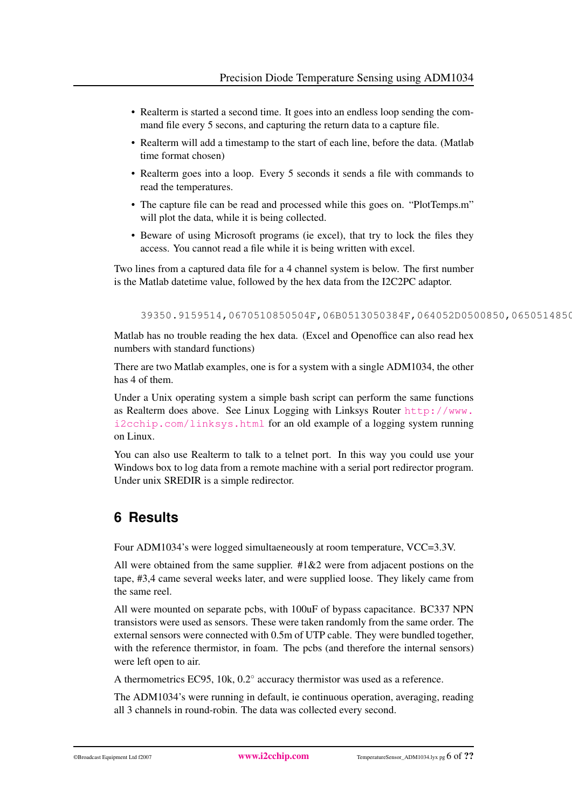- Realterm is started a second time. It goes into an endless loop sending the command file every 5 secons, and capturing the return data to a capture file.
- Realterm will add a timestamp to the start of each line, before the data. (Matlab time format chosen)
- Realterm goes into a loop. Every 5 seconds it sends a file with commands to read the temperatures.
- The capture file can be read and processed while this goes on. "PlotTemps.m" will plot the data, while it is being collected.
- Beware of using Microsoft programs (ie excel), that try to lock the files they access. You cannot read a file while it is being written with excel.

Two lines from a captured data file for a 4 channel system is below. The first number is the Matlab datetime value, followed by the hex data from the I2C2PC adaptor.

39350.9159514,0670510850504F,06B0513050384F,064052D0500850,0650514850

Matlab has no trouble reading the hex data. (Excel and Openoffice can also read hex numbers with standard functions)

There are two Matlab examples, one is for a system with a single ADM1034, the other has 4 of them.

Under a Unix operating system a simple bash script can perform the same functions as Realterm does above. See Linux Logging with Linksys Router [http://www.](http://www.i2cchip.com/linksys.html) [i2cchip.com/linksys.html](http://www.i2cchip.com/linksys.html) for an old example of a logging system running on Linux.

You can also use Realterm to talk to a telnet port. In this way you could use your Windows box to log data from a remote machine with a serial port redirector program. Under unix SREDIR is a simple redirector.

# <span id="page-5-0"></span>**6 Results**

Four ADM1034's were logged simultaeneously at room temperature, VCC=3.3V.

All were obtained from the same supplier.  $#1\&2$  were from adjacent postions on the tape, #3,4 came several weeks later, and were supplied loose. They likely came from the same reel.

All were mounted on separate pcbs, with 100uF of bypass capacitance. BC337 NPN transistors were used as sensors. These were taken randomly from the same order. The external sensors were connected with 0.5m of UTP cable. They were bundled together, with the reference thermistor, in foam. The pcbs (and therefore the internal sensors) were left open to air.

A thermometrics EC95, 10k, 0.2° accuracy thermistor was used as a reference.

The ADM1034's were running in default, ie continuous operation, averaging, reading all 3 channels in round-robin. The data was collected every second.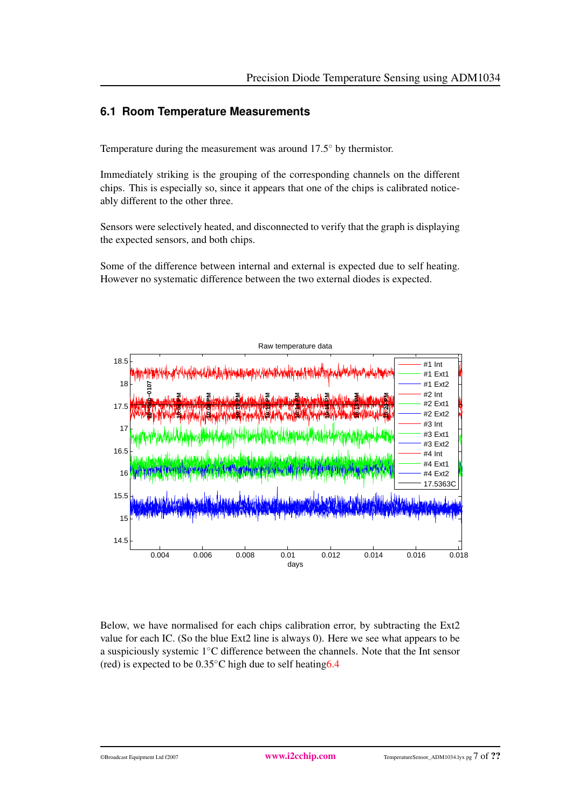### <span id="page-6-0"></span>**6.1 Room Temperature Measurements**

Temperature during the measurement was around 17.5◦ by thermistor.

Immediately striking is the grouping of the corresponding channels on the different chips. This is especially so, since it appears that one of the chips is calibrated noticeably different to the other three.

Sensors were selectively heated, and disconnected to verify that the graph is displaying the expected sensors, and both chips.

Some of the difference between internal and external is expected due to self heating. However no systematic difference between the two external diodes is expected.



Below, we have normalised for each chips calibration error, by subtracting the Ext2 value for each IC. (So the blue Ext2 line is always 0). Here we see what appears to be a suspiciously systemic 1◦C difference between the channels. Note that the Int sensor (red) is expected to be  $0.35^{\circ}$ C high due to self heating 6.4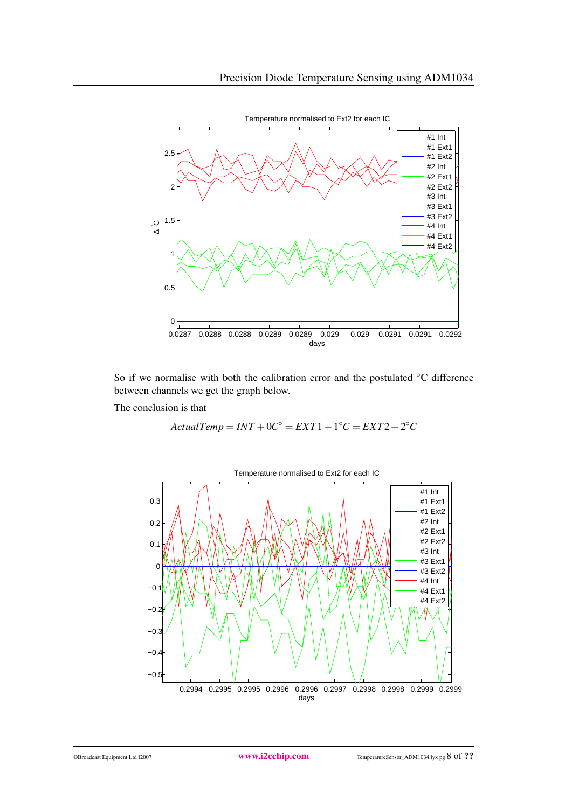

So if we normalise with both the calibration error and the postulated ◦C difference between channels we get the graph below.

The conclusion is that

$$
ActualTemp = INT + 0C^{\circ} = EXT1 + 1^{\circ}C = EXT2 + 2^{\circ}C
$$

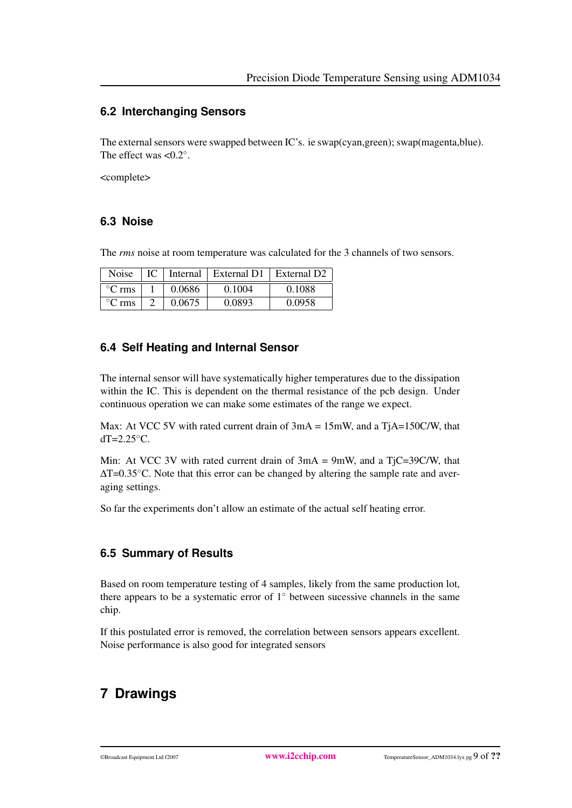#### <span id="page-8-0"></span>**6.2 Interchanging Sensors**

The external sensors were swapped between IC's. ie swap(cyan,green); swap(magenta,blue). The effect was  $<0.2^\circ$ .

<complete>

#### <span id="page-8-1"></span>**6.3 Noise**

The *rms* noise at room temperature was calculated for the 3 channels of two sensors.

| <b>Noise</b>              |        | IC   Internal   External D1   External D2 |        |
|---------------------------|--------|-------------------------------------------|--------|
| $\mathrm{^{\circ}C}$ rms  | 0.0686 | 0.1004                                    | 0.1088 |
| $\mathrm{^{\circ}C}$ rms. | 0.0675 | 0.0893                                    | 0.0958 |

### <span id="page-8-2"></span>**6.4 Self Heating and Internal Sensor**

The internal sensor will have systematically higher temperatures due to the dissipation within the IC. This is dependent on the thermal resistance of the pcb design. Under continuous operation we can make some estimates of the range we expect.

Max: At VCC 5V with rated current drain of  $3mA = 15mW$ , and a TjA=150C/W, that  $dT=2.25\textdegree C$ .

Min: At VCC 3V with rated current drain of  $3mA = 9mW$ , and a TjC=39C/W, that  $\Delta T$ =0.35 $^{\circ}$ C. Note that this error can be changed by altering the sample rate and averaging settings.

So far the experiments don't allow an estimate of the actual self heating error.

### <span id="page-8-3"></span>**6.5 Summary of Results**

Based on room temperature testing of 4 samples, likely from the same production lot, there appears to be a systematic error of  $1°$  between sucessive channels in the same chip.

If this postulated error is removed, the correlation between sensors appears excellent. Noise performance is also good for integrated sensors

# <span id="page-8-5"></span><span id="page-8-4"></span>**7 Drawings**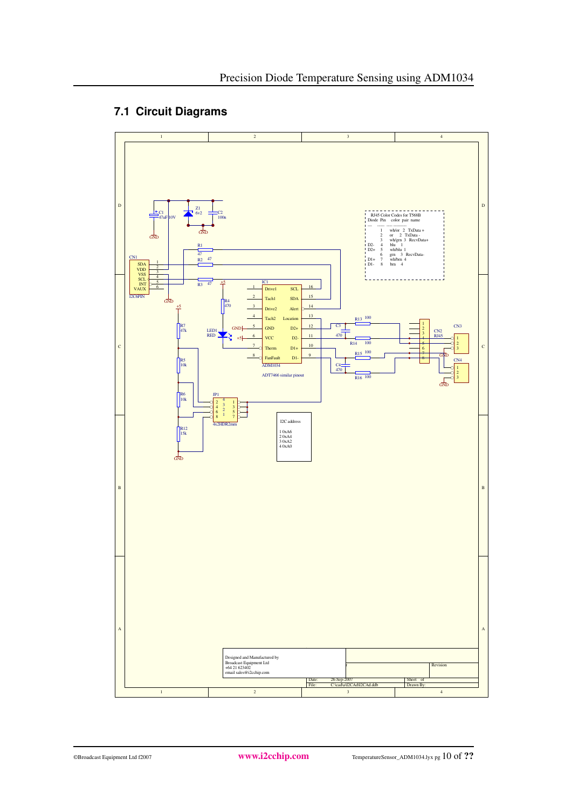### **7.1 Circuit Diagrams**

<span id="page-9-0"></span>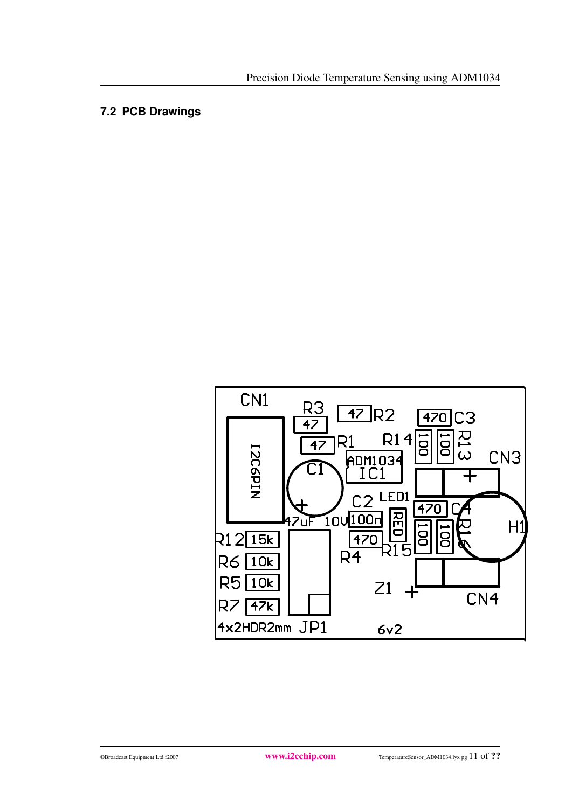### **7.2 PCB Drawings**